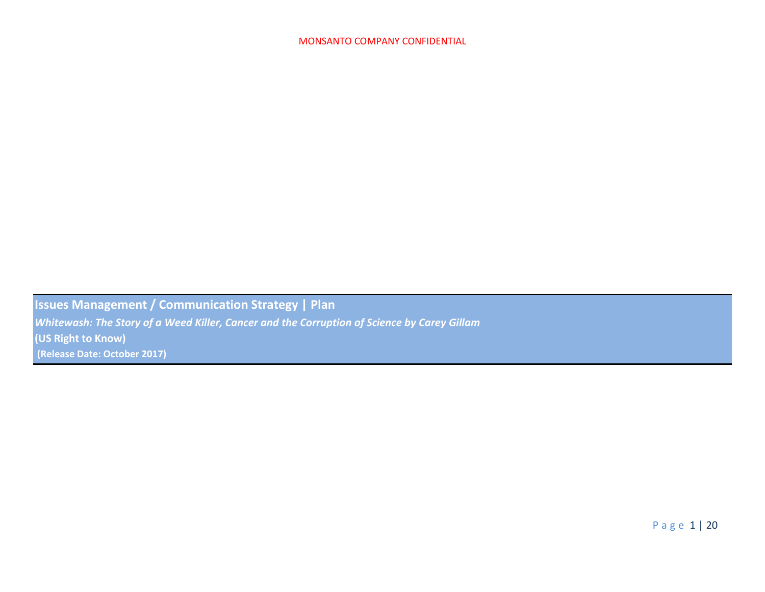**Issues Management / Communication Strategy | Plan** *Whitewash: The Story of a Weed Killer, Cancer and the Corruption of Science by Carey Gillam* **(US Right to Know) (Release Date: October 2017)**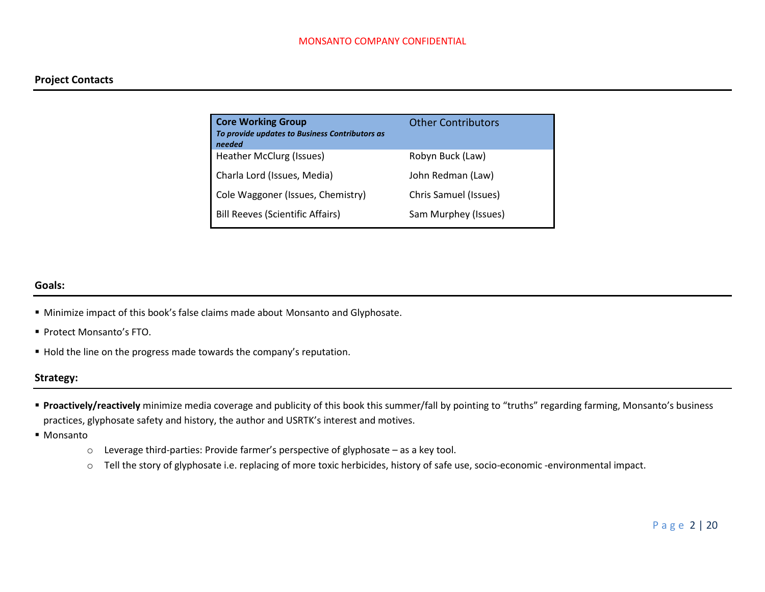| <b>Core Working Group</b><br>To provide updates to Business Contributors as<br>needed | <b>Other Contributors</b> |
|---------------------------------------------------------------------------------------|---------------------------|
| Heather McClurg (Issues)                                                              | Robyn Buck (Law)          |
| Charla Lord (Issues, Media)                                                           | John Redman (Law)         |
| Cole Waggoner (Issues, Chemistry)                                                     | Chris Samuel (Issues)     |
| <b>Bill Reeves (Scientific Affairs)</b>                                               | Sam Murphey (Issues)      |

# **Goals:**

- Minimize impact of this book's false claims made about [Monsanto and Glyphosate.](https://www.baumhedlundlaw.com)
- **Protect Monsanto's FTO.**
- Hold the line on the progress made towards the company's reputation.

# **Strategy:**

- **Proactively/reactively** minimize media coverage and publicity of this book this summer/fall by pointing to "truths" regarding farming, Monsanto's business practices, glyphosate safety and history, the author and USRTK's interest and motives.
- Monsanto
	- o Leverage third-parties: Provide farmer's perspective of glyphosate as a key tool.
	- o Tell the story of glyphosate i.e. replacing of more toxic herbicides, history of safe use, socio-economic -environmental impact.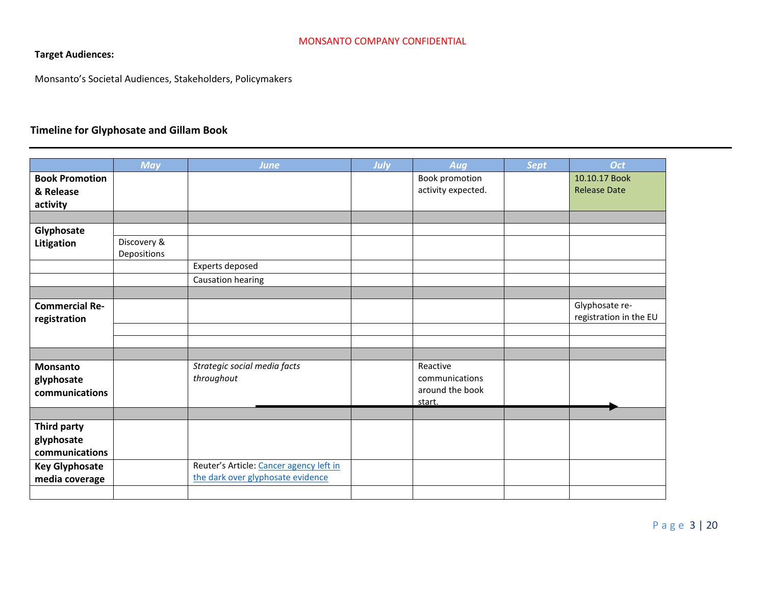# **Target Audiences:**

Monsanto's Societal Audiences, Stakeholders, Policymakers

# **Timeline for Glyphosate and Gillam Book**

|                                    | <b>May</b>                 | <b>June</b>                             | July | Aug                                  | <b>Sept</b> | <b>Oct</b>                           |
|------------------------------------|----------------------------|-----------------------------------------|------|--------------------------------------|-------------|--------------------------------------|
| <b>Book Promotion</b><br>& Release |                            |                                         |      | Book promotion<br>activity expected. |             | 10.10.17 Book<br><b>Release Date</b> |
| activity                           |                            |                                         |      |                                      |             |                                      |
| Glyphosate                         |                            |                                         |      |                                      |             |                                      |
| Litigation                         | Discovery &<br>Depositions |                                         |      |                                      |             |                                      |
|                                    |                            | Experts deposed                         |      |                                      |             |                                      |
|                                    |                            | Causation hearing                       |      |                                      |             |                                      |
|                                    |                            |                                         |      |                                      |             |                                      |
| <b>Commercial Re-</b>              |                            |                                         |      |                                      |             | Glyphosate re-                       |
| registration                       |                            |                                         |      |                                      |             | registration in the EU               |
|                                    |                            |                                         |      |                                      |             |                                      |
|                                    |                            |                                         |      |                                      |             |                                      |
|                                    |                            |                                         |      |                                      |             |                                      |
| <b>Monsanto</b>                    |                            | Strategic social media facts            |      | Reactive                             |             |                                      |
| glyphosate                         |                            | throughout                              |      | communications<br>around the book    |             |                                      |
| communications                     |                            |                                         |      | start.                               |             |                                      |
|                                    |                            |                                         |      |                                      |             |                                      |
| Third party                        |                            |                                         |      |                                      |             |                                      |
| glyphosate                         |                            |                                         |      |                                      |             |                                      |
| communications                     |                            |                                         |      |                                      |             |                                      |
| <b>Key Glyphosate</b>              |                            | Reuter's Article: Cancer agency left in |      |                                      |             |                                      |
| media coverage                     |                            | the dark over glyphosate evidence       |      |                                      |             |                                      |
|                                    |                            |                                         |      |                                      |             |                                      |

Page 3 | 20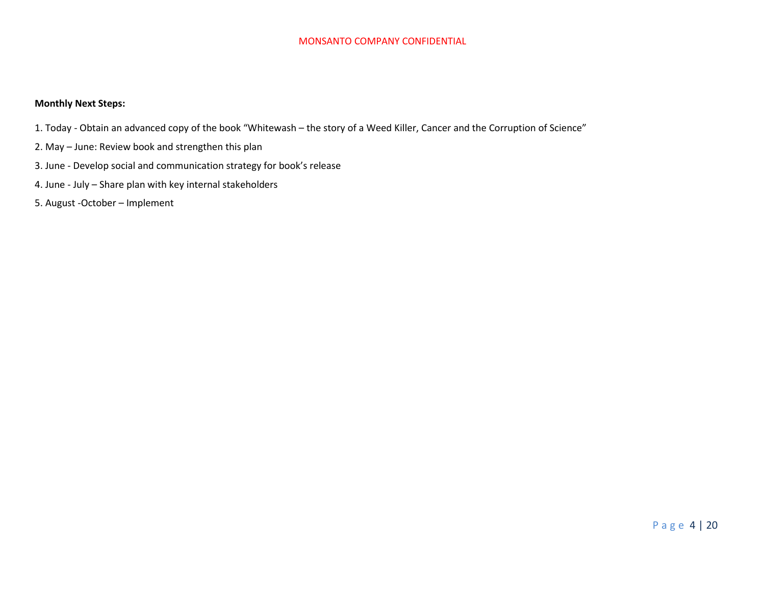### **Monthly Next Steps:**

- 1. Today Obtain an advanced copy of the book "Whitewash the story of a Weed Killer, Cancer and the Corruption of Science"
- 2. May June: Review book and strengthen this plan
- 3. June Develop social and communication strategy for book's release
- 4. June July Share plan with key internal stakeholders
- 5. August -October Implement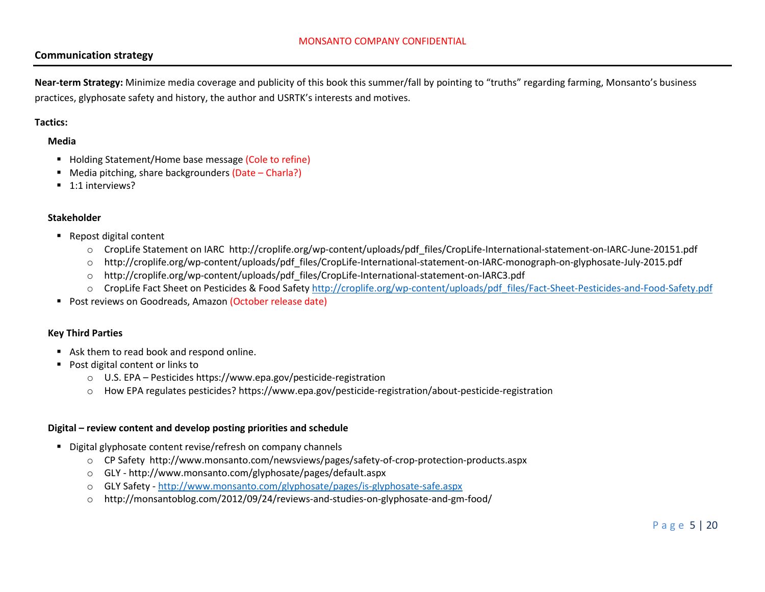# **Communication strategy**

**Near-term Strategy:** Minimize media coverage and publicity of this book this summer/fall by pointing to "truths" regarding farming, Monsanto's business practices, glyphosate safety and history, the author and USRTK's interests and motives.

**Tactics:**

### **Media**

- Holding Statement/Home base message (Cole to refine)
- Media pitching, share backgrounders (Date Charla?)
- 1:1 interviews?

### **Stakeholder**

- Repost digital content
	- o CropLife Statement on IARC http://croplife.org/wp-content/uploads/pdf\_files/CropLife-International-statement-on-IARC-June-20151.pdf
	- o http://croplife.org/wp-content/uploads/pdf\_files/CropLife-International-statement-on-IARC-monograph-on-glyphosate-July-2015.pdf
	- o http://croplife.org/wp-content/uploads/pdf\_files/CropLife-International-statement-on-IARC3.pdf
	- o CropLife Fact Sheet on Pesticides & Food Safety [http://croplife.org/wp-content/uploads/pdf\\_files/Fact-Sheet-Pesticides-and-Food-Safety.pdf](http://croplife.org/wp-content/uploads/pdf_files/Fact-Sheet-Pesticides-and-Food-Safety.pdf)
- Post reviews on Goodreads, Amazon (October release date)

#### **Key Third Parties**

- Ask them to read book and respond online.
- Post digital content or links to
	- o U.S. EPA Pesticides https://www.epa.gov/pesticide-registration
	- o How EPA regulates pesticides? https://www.epa.gov/pesticide-registration/about-pesticide-registration

#### **Digital – review content and develop posting priorities and schedule**

- Digital glyphosate content revise/refresh on company channels
	- o CP Safety http://www.monsanto.com/newsviews/pages/safety-of-crop-protection-products.aspx
	- o GLY http://www.monsanto.com/glyphosate/pages/default.aspx
	- o GLY Safety <http://www.monsanto.com/glyphosate/pages/is-glyphosate-safe.aspx>
	- o http://monsantoblog.com/2012/09/24/reviews-and-studies-on-glyphosate-and-gm-food/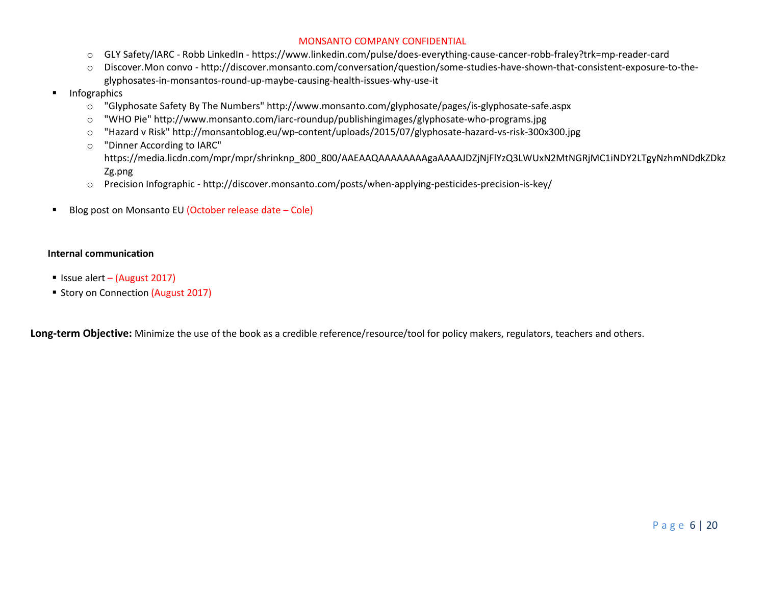- o GLY Safety/IARC Robb LinkedIn https://www.linkedin.com/pulse/does-everything-cause-cancer-robb-fraley?trk=mp-reader-card
- o Discover.Mon convo http://discover.monsanto.com/conversation/question/some-studies-have-shown-that-consistent-exposure-to-theglyphosates-in-monsantos-round-up-maybe-causing-health-issues-why-use-it
- **Infographics** 
	- o "Glyphosate Safety By The Numbers" http://www.monsanto.com/glyphosate/pages/is-glyphosate-safe.aspx
	- o "WHO Pie" http://www.monsanto.com/iarc-roundup/publishingimages/glyphosate-who-programs.jpg
	- o "Hazard v Risk" http://monsantoblog.eu/wp-content/uploads/2015/07/glyphosate-hazard-vs-risk-300x300.jpg
	- o "Dinner According to IARC" https://media.licdn.com/mpr/mpr/shrinknp\_800\_800/AAEAAQAAAAAAAAgaAAAAJDZjNjFlYzQ3LWUxN2MtNGRjMC1iNDY2LTgyNzhmNDdkZDkz Zg.png
	- o Precision Infographic http://discover.monsanto.com/posts/when-applying-pesticides-precision-is-key/
- Blog post on Monsanto EU (October release date Cole)

# **Internal communication**

- $\blacksquare$  Issue alert (August 2017)
- **Story on Connection (August 2017)**

**Long-term Objective:** Minimize the use of the book as a credible reference/resource/tool for policy makers, regulators, teachers and others.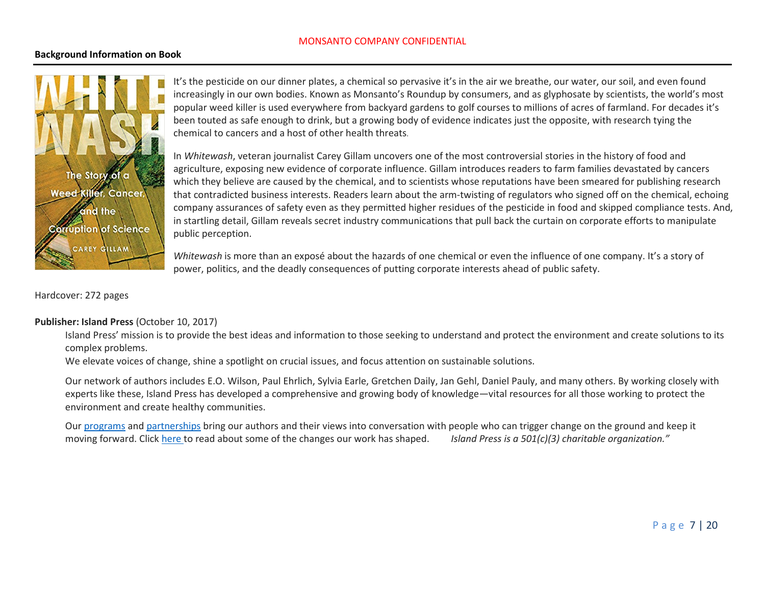### **Background Information on Book**



It's the pesticide on our dinner plates, a chemical so pervasive it's in the air we breathe, our water, our soil, and even found increasingly in our own bodies. Known as Monsanto's Roundup by consumers, and as glyphosate by scientists, the world's most popular weed killer is used everywhere from backyard gardens to golf courses to millions of acres of farmland. For decades it's been touted as safe enough to drink, but a growing body of evidence indicates just the opposite, with research tying the chemical to cancers and a host of other health threats.

In *Whitewash*, veteran journalist Carey Gillam uncovers one of the most controversial stories in the history of food and agriculture, exposing new evidence of corporate influence. Gillam introduces readers to farm families devastated by cancers which they believe are caused by the chemical, and to scientists whose reputations have been smeared for publishing research that contradicted business interests. Readers learn about the arm-twisting of regulators who signed off on the chemical, echoing company assurances of safety even as they permitted higher residues of the pesticide in food and skipped compliance tests. And, in startling detail, Gillam reveals secret industry communications that pull back the curtain on corporate efforts to manipulate public perception.

*Whitewash* is more than an exposé about the hazards of one chemical or even the influence of one company. It's a story of power, politics, and the deadly consequences of putting corporate interests ahead of public safety.

Hardcover: 272 pages

### **Publisher: Island Press** (October 10, 2017)

Island Press' mission is to provide the best ideas and information to those seeking to understand and protect the environment and create solutions to its complex problems.

We elevate voices of change, shine a spotlight on crucial issues, and focus attention on sustainable solutions.

Our network of authors includes E.O. Wilson, Paul Ehrlich, Sylvia Earle, Gretchen Daily, Jan Gehl, Daniel Pauly, and many others. By working closely with experts like these, Island Press has developed a comprehensive and growing body of knowledge—vital resources for all those working to protect the environment and create healthy communities.

Our [programs](https://islandpress.org/listing/programs) and [partnerships](https://islandpress.org/listing/partnerships) bring our authors and their views into conversation with people who can trigger change on the ground and keep it moving forward. Click [here](https://islandpress.org/content/impact) to read about some of the changes our work has shaped. *Island Press is a 501(c)(3) charitable organization."*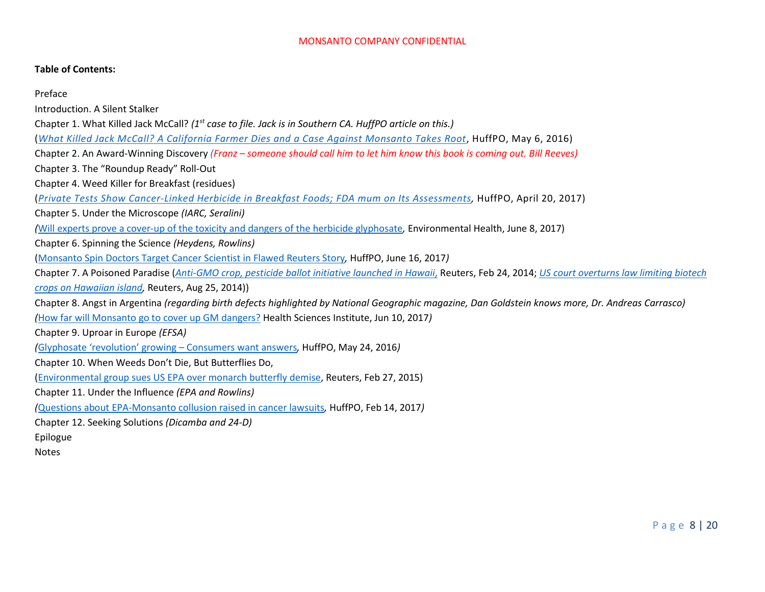# **Table of Contents:**

| Preface                                                                                                                                                       |
|---------------------------------------------------------------------------------------------------------------------------------------------------------------|
| Introduction. A Silent Stalker                                                                                                                                |
| Chapter 1. What Killed Jack McCall? (1 <sup>st</sup> case to file. Jack is in Southern CA. HuffPO article on this.)                                           |
| (What Killed Jack McCall? A California Farmer Dies and a Case Against Monsanto Takes Root, HuffPO, May 6, 2016)                                               |
| Chapter 2. An Award-Winning Discovery (Franz - someone should call him to let him know this book is coming out. Bill Reeves)                                  |
| Chapter 3. The "Roundup Ready" Roll-Out                                                                                                                       |
| Chapter 4. Weed Killer for Breakfast (residues)                                                                                                               |
| (Private Tests Show Cancer-Linked Herbicide in Breakfast Foods; FDA mum on Its Assessments, HuffPO, April 20, 2017)                                           |
| Chapter 5. Under the Microscope (IARC, Seralini)                                                                                                              |
| (Will experts prove a cover-up of the toxicity and dangers of the herbicide glyphosate, Environmental Health, June 8, 2017)                                   |
| Chapter 6. Spinning the Science (Heydens, Rowlins)                                                                                                            |
| (Monsanto Spin Doctors Target Cancer Scientist in Flawed Reuters Story, HuffPO, June 16, 2017)                                                                |
| Chapter 7. A Poisoned Paradise (Anti-GMO crop, pesticide ballot initiative launched in Hawaii, Reuters, Feb 24, 2014; US court overturns law limiting biotech |
| crops on Hawaiian island, Reuters, Aug 25, 2014))                                                                                                             |
| Chapter 8. Angst in Argentina (regarding birth defects highlighted by National Geographic magazine, Dan Goldstein knows more, Dr. Andreas Carrasco)           |
| (How far will Monsanto go to cover up GM dangers? Health Sciences Institute, Jun 10, 2017)                                                                    |
| Chapter 9. Uproar in Europe (EFSA)                                                                                                                            |
| (Glyphosate 'revolution' growing - Consumers want answers, HuffPO, May 24, 2016)                                                                              |
| Chapter 10. When Weeds Don't Die, But Butterflies Do,                                                                                                         |
| (Environmental group sues US EPA over monarch butterfly demise, Reuters, Feb 27, 2015)                                                                        |
| Chapter 11. Under the Influence (EPA and Rowlins)                                                                                                             |
| (Questions about EPA-Monsanto collusion raised in cancer lawsuits, HuffPO, Feb 14, 2017)                                                                      |
| Chapter 12. Seeking Solutions (Dicamba and 24-D)                                                                                                              |
| Epilogue                                                                                                                                                      |
| Notes                                                                                                                                                         |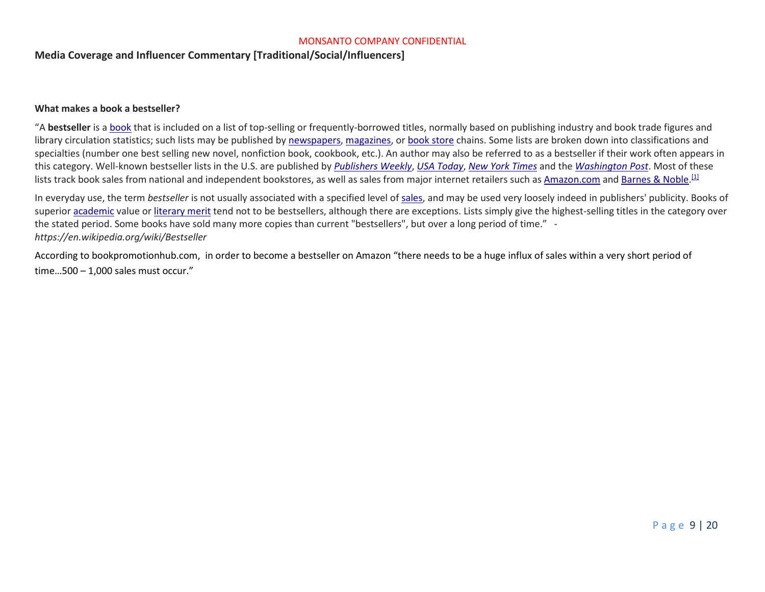# **Media Coverage and Influencer Commentary [Traditional/Social/Influencers]**

#### **What makes a book a bestseller?**

"A **bestseller** is a [book](https://en.wikipedia.org/wiki/Book) that is included on a list of top-selling or frequently-borrowed titles, normally based on publishing industry and book trade figures and library circulation statistics; such lists may be published by [newspapers,](https://en.wikipedia.org/wiki/Newspaper) [magazines,](https://en.wikipedia.org/wiki/Magazine) or [book store](https://en.wikipedia.org/wiki/Book_store) chains. Some lists are broken down into classifications and specialties (number one best selling new novel, nonfiction book, cookbook, etc.). An author may also be referred to as a bestseller if their work often appears in this category. Well-known bestseller lists in the U.S. are published by *[Publishers Weekly](https://en.wikipedia.org/wiki/Publishers_Weekly_lists_of_bestselling_novels_in_the_United_States)*, *[USA Today](https://en.wikipedia.org/wiki/USA_Today)*, *[New York Times](https://en.wikipedia.org/wiki/New_York_Times)* and the *[Washington Post](https://en.wikipedia.org/wiki/Washington_Post)*. Most of these lists track book sales from national and independent bookstores, as well as sales from major internet retailers such as <u>[Amazon.com](https://en.wikipedia.org/wiki/Amazon.com)</u> and <u>Barnes & Noble</u>.<sup>[\[1\]](https://en.wikipedia.org/wiki/Bestseller#cite_note-1)</sup>

In everyday use, the term *bestseller* is not usually associated with a specified level of [sales,](https://en.wikipedia.org/wiki/Sales) and may be used very loosely indeed in publishers' publicity. Books of superior [academic](https://en.wikipedia.org/wiki/Academia) value or [literary merit](https://en.wikipedia.org/wiki/Literary_merit) tend not to be bestsellers, although there are exceptions. Lists simply give the highest-selling titles in the category over the stated period. Some books have sold many more copies than current "bestsellers", but over a long period of time." *https://en.wikipedia.org/wiki/Bestseller*

According to bookpromotionhub.com, in order to become a bestseller on Amazon "there needs to be a huge influx of sales within a very short period of time…500 – 1,000 sales must occur."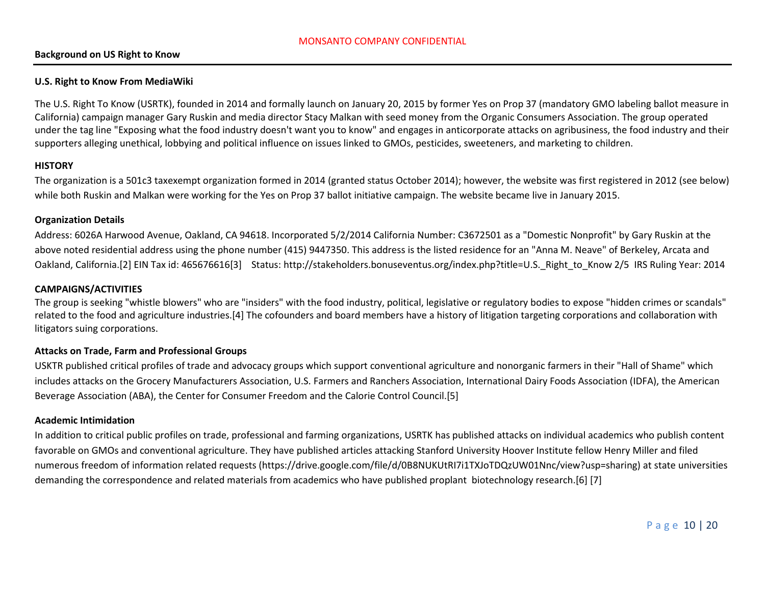### **Background on US Right to Know**

#### **U.S. Right to Know From MediaWiki**

The U.S. Right To Know (USRTK), founded in 2014 and formally launch on January 20, 2015 by former Yes on Prop 37 (mandatory GMO labeling ballot measure in California) campaign manager Gary Ruskin and media director Stacy Malkan with seed money from the Organic Consumers Association. The group operated under the tag line "Exposing what the food industry doesn't want you to know" and engages in anticorporate attacks on agribusiness, the food industry and their supporters alleging unethical, lobbying and political influence on issues linked to GMOs, pesticides, sweeteners, and marketing to children.

### **HISTORY**

The organization is a 501c3 taxexempt organization formed in 2014 (granted status October 2014); however, the website was first registered in 2012 (see below) while both Ruskin and Malkan were working for the Yes on Prop 37 ballot initiative campaign. The website became live in January 2015.

#### **Organization Details**

Address: 6026A Harwood Avenue, Oakland, CA 94618. Incorporated 5/2/2014 California Number: C3672501 as a "Domestic Nonprofit" by Gary Ruskin at the above noted residential address using the phone number (415) 9447350. This address is the listed residence for an "Anna M. Neave" of Berkeley, Arcata and Oakland, California.[2] EIN Tax id: 465676616[3] Status: http://stakeholders.bonuseventus.org/index.php?title=U.S.\_Right\_to\_Know 2/5 IRS Ruling Year: 2014

### **CAMPAIGNS/ACTIVITIES**

The group is seeking "whistle blowers" who are "insiders" with the food industry, political, legislative or regulatory bodies to expose "hidden crimes or scandals" related to the food and agriculture industries.[4] The cofounders and board members have a history of litigation targeting corporations and collaboration with litigators suing corporations.

### **Attacks on Trade, Farm and Professional Groups**

USKTR published critical profiles of trade and advocacy groups which support conventional agriculture and nonorganic farmers in their "Hall of Shame" which includes attacks on the Grocery Manufacturers Association, U.S. Farmers and Ranchers Association, International Dairy Foods Association (IDFA), the American Beverage Association (ABA), the Center for Consumer Freedom and the Calorie Control Council.[5]

#### **Academic Intimidation**

In addition to critical public profiles on trade, professional and farming organizations, USRTK has published attacks on individual academics who publish content favorable on GMOs and conventional agriculture. They have published articles attacking Stanford University Hoover Institute fellow Henry Miller and filed numerous freedom of information related requests (https://drive.google.com/file/d/0B8NUKUtRI7i1TXJoTDQzUW01Nnc/view?usp=sharing) at state universities demanding the correspondence and related materials from academics who have published proplant biotechnology research.[6] [7]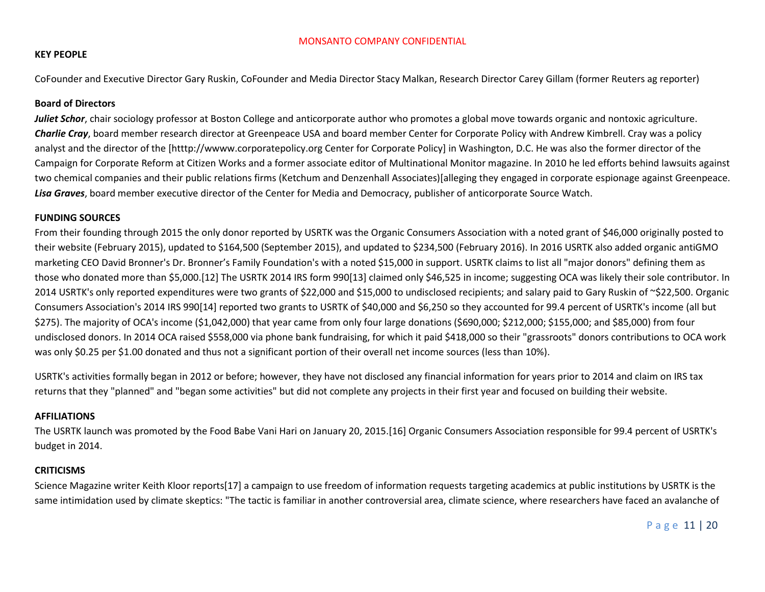### **KEY PEOPLE**

CoFounder and Executive Director Gary Ruskin, CoFounder and Media Director Stacy Malkan, Research Director Carey Gillam (former Reuters ag reporter)

### **Board of Directors**

*Juliet Schor*, chair sociology professor at Boston College and anticorporate author who promotes a global move towards organic and nontoxic agriculture. *Charlie Cray*, board member research director at Greenpeace USA and board member Center for Corporate Policy with Andrew Kimbrell. Cray was a policy analyst and the director of the [htttp://wwww.corporatepolicy.org Center for Corporate Policy] in Washington, D.C. He was also the former director of the Campaign for Corporate Reform at Citizen Works and a former associate editor of Multinational Monitor magazine. In 2010 he led efforts behind lawsuits against two chemical companies and their public relations firms (Ketchum and Denzenhall Associates)[alleging they engaged in corporate espionage against Greenpeace. *Lisa Graves*, board member executive director of the Center for Media and Democracy, publisher of anticorporate Source Watch.

### **FUNDING SOURCES**

From their founding through 2015 the only donor reported by USRTK was the Organic Consumers Association with a noted grant of \$46,000 originally posted to their website (February 2015), updated to \$164,500 (September 2015), and updated to \$234,500 (February 2016). In 2016 USRTK also added organic antiGMO marketing CEO David Bronner's Dr. Bronner's Family Foundation's with a noted \$15,000 in support. USRTK claims to list all "major donors" defining them as those who donated more than \$5,000.[12] The USRTK 2014 IRS form 990[13] claimed only \$46,525 in income; suggesting OCA was likely their sole contributor. In 2014 USRTK's only reported expenditures were two grants of \$22,000 and \$15,000 to undisclosed recipients; and salary paid to Gary Ruskin of ~\$22,500. Organic Consumers Association's 2014 IRS 990[14] reported two grants to USRTK of \$40,000 and \$6,250 so they accounted for 99.4 percent of USRTK's income (all but \$275). The majority of OCA's income (\$1,042,000) that year came from only four large donations (\$690,000; \$212,000; \$155,000; and \$85,000) from four undisclosed donors. In 2014 OCA raised \$558,000 via phone bank fundraising, for which it paid \$418,000 so their "grassroots" donors contributions to OCA work was only \$0.25 per \$1.00 donated and thus not a significant portion of their overall net income sources (less than 10%).

USRTK's activities formally began in 2012 or before; however, they have not disclosed any financial information for years prior to 2014 and claim on IRS tax returns that they "planned" and "began some activities" but did not complete any projects in their first year and focused on building their website.

### **AFFILIATIONS**

The USRTK launch was promoted by the Food Babe Vani Hari on January 20, 2015.[16] Organic Consumers Association responsible for 99.4 percent of USRTK's budget in 2014.

### **CRITICISMS**

Science Magazine writer Keith Kloor reports[17] a campaign to use freedom of information requests targeting academics at public institutions by USRTK is the same intimidation used by climate skeptics: "The tactic is familiar in another controversial area, climate science, where researchers have faced an avalanche of

Page 11 | 20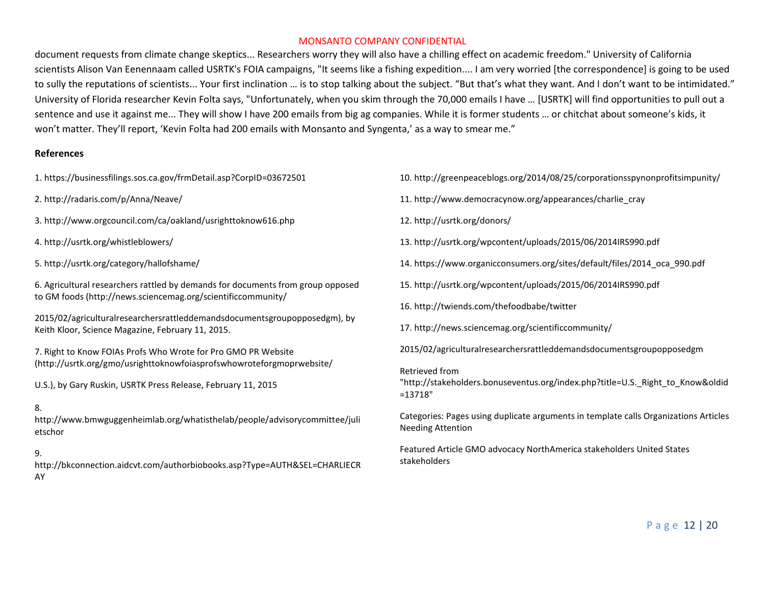document requests from climate change skeptics... Researchers worry they will also have a chilling effect on academic freedom." University of California scientists Alison Van Eenennaam called USRTK's FOIA campaigns, "It seems like a fishing expedition.... I am very worried [the correspondence] is going to be used to sully the reputations of scientists... Your first inclination … is to stop talking about the subject. "But that's what they want. And I don't want to be intimidated." University of Florida researcher Kevin Folta says, "Unfortunately, when you skim through the 70,000 emails I have … [USRTK] will find opportunities to pull out a sentence and use it against me... They will show I have 200 emails from big ag companies. While it is former students … or chitchat about someone's kids, it won't matter. They'll report, 'Kevin Folta had 200 emails with Monsanto and Syngenta,' as a way to smear me."

### **References**

1. https://businessfilings.sos.ca.gov/frmDetail.asp?CorpID=03672501

2. http://radaris.com/p/Anna/Neave/

3. http://www.orgcouncil.com/ca/oakland/usrighttoknow616.php

4. http://usrtk.org/whistleblowers/

5. http://usrtk.org/category/hallofshame/

6. Agricultural researchers rattled by demands for documents from group opposed to GM foods (http://news.sciencemag.org/scientificcommunity/

2015/02/agriculturalresearchersrattleddemandsdocumentsgroupopposedgm), by Keith Kloor, Science Magazine, February 11, 2015.

7. Right to Know FOIAs Profs Who Wrote for Pro GMO PR Website (http://usrtk.org/gmo/usrighttoknowfoiasprofswhowroteforgmoprwebsite/

U.S.), by Gary Ruskin, USRTK Press Release, February 11, 2015

#### 8.

http://www.bmwguggenheimlab.org/whatisthelab/people/advisorycommittee/juli etschor

#### 9.

http://bkconnection.aidcvt.com/authorbiobooks.asp?Type=AUTH&SEL=CHARLIECR AY

- 10. http://greenpeaceblogs.org/2014/08/25/corporationsspynonprofitsimpunity/
- 11. http://www.democracynow.org/appearances/charlie\_cray
- 12. http://usrtk.org/donors/
- 13. http://usrtk.org/wpcontent/uploads/2015/06/2014IRS990.pdf
- 14. https://www.organicconsumers.org/sites/default/files/2014\_oca\_990.pdf
- 15. http://usrtk.org/wpcontent/uploads/2015/06/2014IRS990.pdf

16. http://twiends.com/thefoodbabe/twitter

17. http://news.sciencemag.org/scientificcommunity/

2015/02/agriculturalresearchersrattleddemandsdocumentsgroupopposedgm

### Retrieved from

"http://stakeholders.bonuseventus.org/index.php?title=U.S.\_Right\_to\_Know&oldid =13718"

Categories: Pages using duplicate arguments in template calls Organizations Articles Needing Attention

Featured Article GMO advocacy NorthAmerica stakeholders United States stakeholders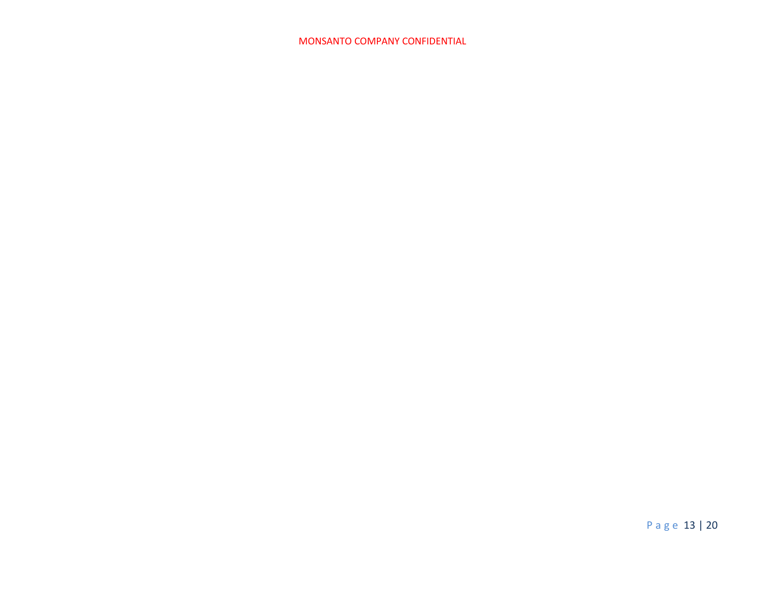Page 13 | 20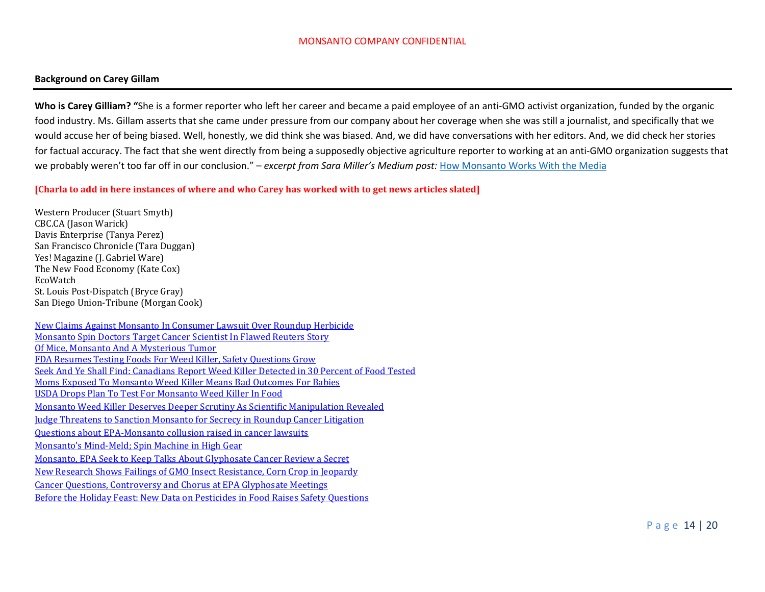### **Background on Carey Gillam**

**Who is Carey Gilliam? "**She is a former reporter who left her career and became a paid employee of an anti-GMO activist organization, funded by the organic food industry. Ms. Gillam asserts that she came under pressure from our company about her coverage when she was still a journalist, and specifically that we would accuse her of being biased. Well, honestly, we did think she was biased. And, we did have conversations with her editors. And, we did check her stories for factual accuracy. The fact that she went directly from being a supposedly objective agriculture reporter to working at an anti-GMO organization suggests that we probably weren't too far off in our conclusion." – *excerpt from Sara Miller's Medium post:* [How Monsanto Works With the Media](https://medium.com/@MonsantoCo/behind-the-scenes-how-monsanto-works-with-the-media-a80ec9aa2481)

### **[Charla to add in here instances of where and who Carey has worked with to get news articles slated]**

Western Producer (Stuart Smyth) CBC.CA (Jason Warick) Davis Enterprise (Tanya Perez) San Francisco Chronicle (Tara Duggan) Yes! Magazine (J. Gabriel Ware) The New Food Economy (Kate Cox) EcoWatch St. Louis Post-Dispatch (Bryce Gray) San Diego Union-Tribune (Morgan Cook)

[New Claims Against Monsanto In Consumer Lawsuit Over Roundup Herbicide](http://www.huffingtonpost.com/entry/new-claims-against-monsanto-in-consumer-lawsuit-over_us_59496379e4b0f500e5526088) [Monsanto Spin Doctors Target Cancer Scientist In Flawed Reuters Story](http://www.huffingtonpost.com/entry/monsanto-spin-doctors-target-cancer-scientist-in-flawed_us_594449eae4b0940f84fe2e57) [Of Mice, Monsanto And A Mysterious Tumor](http://www.huffingtonpost.com/entry/of-mice-monsanto-and-a-mysterious-tumor_us_5939717fe4b014ae8c69de40) [FDA Resumes Testing Foods For Weed Killer, Safety Questions Grow](http://www.huffingtonpost.com/entry/fda-resumes-testing-foods-for-weed-killer-safety-questions_us_593843b2e4b014ae8c69dd1b) Seek And Ye Shall [Find: Canadians Report Weed Killer Detected in 30 Percent of Food Tested](http://www.huffingtonpost.com/entry/seek-and-ye-shall-find-canadians-report-weed-killer_us_58ee8051e4b0156697224be7) [Moms Exposed To Monsanto Weed Killer Means Bad](http://www.huffingtonpost.com/entry/moms-exposed-to-monsanto-weed-killer-means-bad-outcomes_us_58e3f715e4b02ef7e0e6e172) Outcomes For Babies [USDA Drops Plan To Test For Monsanto Weed Killer In Food](http://www.huffingtonpost.com/entry/usda-drops-plan-to-test-for-monsanto-weed-killer-in_us_58d2db4ee4b062043ad4af84) [Monsanto Weed Killer Deserves Deeper Scrutiny As Scientific Manipulation Revealed](http://www.huffingtonpost.com/entry/monsanto-weed-killer-deserves-deeper-scrutiny-as-scientific_us_58cc5541e4b0e0d348b34348) [Judge Threatens to Sanction Monsanto for Secrecy in Roundup Cancer Litigation](http://www.huffingtonpost.com/entry/judge-threatens-to-sanction-monsanto-for-secrecy-in_us_58c2de66e4b0c3276fb78433) [Questions about EPA-Monsanto collusion raised in cancer lawsuits](http://www.huffingtonpost.com/carey-gillam/questions-about-epa-monsa_b_14727648.html) [Monsanto's Mind-Meld; Spin Machine in High Gear](http://www.huffingtonpost.com/carey-gillam/monsantos-mind-meld-spin_b_14528692.html) [Monsanto, EPA Seek to Keep Talks About Glyphosate Cancer Review a Secret](http://www.huffingtonpost.com/carey-gillam/monsanto-epa-seek-to-keep_b_14250572.html) [New Research Shows Failings of GMO Insect Resistance, Corn Crop in Jeopardy](http://www.huffingtonpost.com/carey-gillam/new-research-shows-failin_b_14003604.html) [Cancer Questions, Controversy and Chorus at EPA Glyphosate Meetings](http://www.huffingtonpost.com/carey-gillam/cancer-questions-controve_b_13679052.html) [Before the Holiday Feast: New Data on Pesticides in Food Raises Safety Questions](http://www.huffingtonpost.com/carey-gillam/before-the-holiday-feast_b_13150596.html)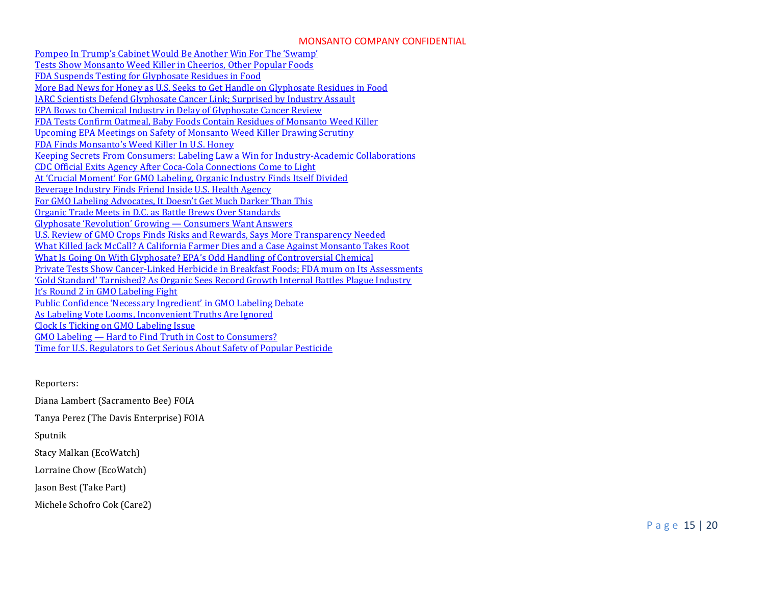[Pompeo In Trump's Cabinet Would Be Another Win For The 'Swamp'](http://www.huffingtonpost.com/carey-gillam/trump-talk-of-pompeo-for_b_13059008.html) [Tests Show Monsanto Weed Killer in Cheerios, Other Popular Foods](http://www.huffingtonpost.com/carey-gillam/tests-show-monsanto-weed_b_12950444.html) [FDA Suspends Testing for Glyphosate Residues in Food](http://www.huffingtonpost.com/carey-gillam/fda-suspends-glyphosate-r_b_12913458.html) [More Bad News for Honey as U.S. Seeks to Get Handle on Glyphosate Residues in Food](http://www.huffingtonpost.com/carey-gillam/more-bad-news-for-honey-a_b_12769698.html) [IARC Scientists Defend Glyphosate Cancer Link; Surprised by Industry Assault](http://www.huffingtonpost.com/carey-gillam/iarc-scientists-defend-gl_b_12720306.html) [EPA Bows to Chemical Industry in Delay of Glyphosate Cancer Review](http://www.huffingtonpost.com/carey-gillam/epa-bows-to-chemical-indu_b_12563438.html) [FDA Tests Confirm Oatmeal, Baby Foods Contain Residues of Monsanto Weed Killer](http://www.huffingtonpost.com/carey-gillam/fda-tests-confirm-oatmeal_b_12252824.html) [Upcoming EPA Meetings on Safety of Monsanto Weed Killer Drawing Scrutiny](http://www.huffingtonpost.com/carey-gillam/upcoming-epa-meetings-on_b_12245584.html) [FDA Finds Monsanto's Weed Killer In U.S. Honey](http://www.huffingtonpost.com/carey-gillam/fda-finds-monsantos-weed_b_12008680.html) [Keeping Secrets From Consumers: Labeling Law a Win for Industry-Academic Collaborations](http://www.huffingtonpost.com/carey-gillam/keeping-secrets-from-cons_b_10995998.html) [CDC Official Exits Agency After Coca-Cola Connections Come to Light](http://www.huffingtonpost.com/carey-gillam/cdc-official-exits-agency_b_10760490.html) [At 'Crucial Moment' For GMO Labeling, Organic Industry Finds Itself Divided](http://www.huffingtonpost.com/carey-gillam/at-crucial-moment-for-gmo_b_10724758.html) [Beverage Industry Finds Friend Inside U.S. Health Agency](http://www.huffingtonpost.com/carey-gillam/beverage-industry-finds-f_b_10715584.html) [For GMO Labeling Advocates, It Doesn't Get Much Darker Than This](http://www.huffingtonpost.com/carey-gillam/for-gmo-labeling-advocate_b_10638672.html) [Organic Trade Meets in D.C. as Battle Brews Over Standards](http://www.huffingtonpost.com/carey-gillam/organic-trade-meets-in-dc_b_10123934.html) [Glyphosate 'Revolution' Growing —](http://www.huffingtonpost.com/carey-gillam/glyphosate-revolution-gro_b_10122764.html) Consumers Want Answers [U.S. Review of GMO Crops Finds Risks and Rewards, Says More Transparency Needed](http://www.huffingtonpost.com/carey-gillam/us-review-of-gmo-crops-fi_b_10006254.html) [What Killed Jack McCall? A California Farmer Dies and a Case Against Monsanto Takes Root](http://www.huffingtonpost.com/carey-gillam/what-killed-jack-mccall-a_b_9852216.html) [What Is Going On With Glyphosate? EPA's Odd Handling of Controversial Chemical](http://www.huffingtonpost.com/carey-gillam/what-is-going-on-with-gly_b_9825326.html) [Private Tests Show Cancer-Linked Herbicide in Breakfast Foods; FDA mum on Its Assessments](http://www.huffingtonpost.com/carey-gillam/private-tests-show-cancer_b_9723758.html) ['Gold Standard' Tarnished? As Organic Sees Record Growth Internal Battles Plague Industry](http://www.huffingtonpost.com/carey-gillam/gold-standard-tarnished-a_b_9701422.html) [It's Round 2 in GMO Labeling Fight](http://www.huffingtonpost.com/carey-gillam/its-round-2-in-gmo-labeli_b_9619096.html) [Public Confidence 'Necessary Ingredient' in GMO Labeling Debate](http://www.huffingtonpost.com/carey-gillam/public-confidence-necessa_b_9481184.html) [As Labeling Vote Looms, Inconvenient Truths Are Ignored](http://www.huffingtonpost.com/carey-gillam/gmo-labeling-vote-looms_b_9462068.html) [Clock Is Ticking on GMO Labeling Issue](http://www.huffingtonpost.com/carey-gillam/clock-is-ticking-on-gmo-l_b_9358298.html) GMO Labeling — [Hard to Find Truth in Cost to Consumers?](http://www.huffingtonpost.com/carey-gillam/gmo-labeling-how-much-cou_b_9301760.html) [Time for U.S. Regulators to Get Serious About Safety of Popular Pesticide](http://www.huffingtonpost.com/carey-gillam/time-for-us-regulators-to_b_9255674.html)

Reporters:

Diana Lambert (Sacramento Bee) FOIA

Tanya Perez (The Davis Enterprise) FOIA

Sputnik

Stacy Malkan (EcoWatch)

Lorraine Chow (EcoWatch)

Jason Best (Take Part)

Michele Schofro Cok (Care2[\)](http://www.huffingtonpost.com/carey-gillam/time-for-us-regulators-to_b_9255674.html)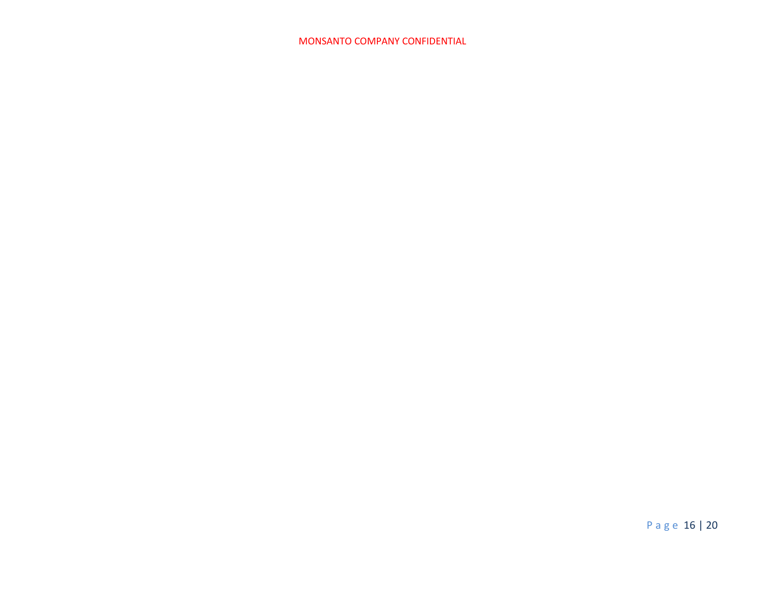Page 16 | 20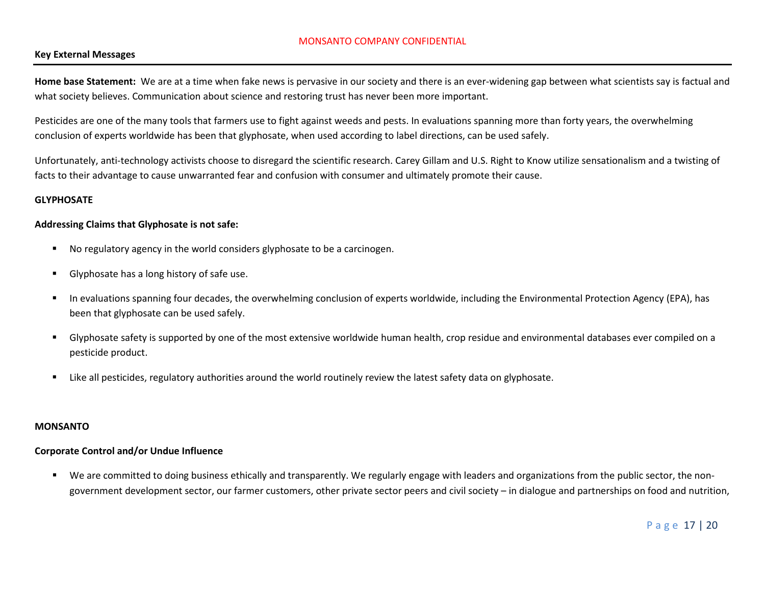### **Key External Messages**

Home base Statement: We are at a time when fake news is pervasive in our society and there is an ever-widening gap between what scientists say is factual and what society believes. Communication about science and restoring trust has never been more important.

Pesticides are one of the many tools that farmers use to fight against weeds and pests. In evaluations spanning more than forty years, the overwhelming conclusion of experts worldwide has been that glyphosate, when used according to label directions, can be used safely.

Unfortunately, anti-technology activists choose to disregard the scientific research. Carey Gillam and U.S. Right to Know utilize sensationalism and a twisting of facts to their advantage to cause unwarranted fear and confusion with consumer and ultimately promote their cause.

### **GLYPHOSATE**

#### **Addressing Claims that Glyphosate is not safe:**

- No regulatory agency in the world considers glyphosate to be a carcinogen.
- Glyphosate has a long history of safe use.
- In evaluations spanning four decades, the overwhelming conclusion of experts worldwide, including the Environmental Protection Agency (EPA), has been that glyphosate can be used safely.
- Glyphosate safety is supported by one of the most extensive worldwide human health, crop residue and environmental databases ever compiled on a pesticide product.
- **EXTES All pesticides, regulatory authorities around the world routinely review the latest safety data on glyphosate.**

#### **MONSANTO**

#### **Corporate Control and/or Undue Influence**

 We are committed to doing business ethically and transparently. We regularly engage with leaders and organizations from the public sector, the nongovernment development sector, our farmer customers, other private sector peers and civil society – in dialogue and partnerships on food and nutrition,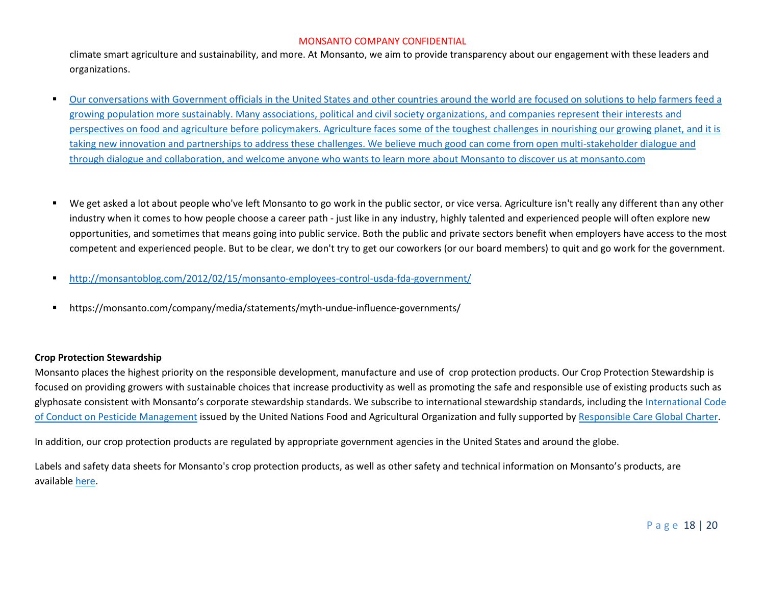climate smart agriculture and sustainability, and more. At Monsanto, we aim to provide transparency about our engagement with these leaders and organizations.

- [Our](http://monsantoblog.com/2012/02/15/monsanto-employees-control-usda-fda-government/) conversations with Government officials in the United States and other countries around the world are focused on solutions to help farmers feed a growing population more sustainably. Many associations, political and civil society organizations, and companies represent their interests and perspectives on food and agriculture before policymakers. Agriculture faces some of the toughest challenges in nourishing our growing planet, and it is taking new innovation and partnerships to address these challenges. We believe much good can come from open multi-stakeholder dialogue and through dialogue and collaboration, and welcome anyone who wants to learn more about Monsanto to discover us at monsanto.com
- We get asked a lot about people who've left Monsanto to go work in the public sector, or vice versa. Agriculture isn't really any different than any other industry when it comes to how people choose a career path - just like in any industry, highly talented and experienced people will often explore new opportunities, and sometimes that means going into public service. Both the public and private sectors benefit when employers have access to the most competent and experienced people. But to be clear, we don't try to get our coworkers (or our board members) to quit and go work for the government.
- <http://monsantoblog.com/2012/02/15/monsanto-employees-control-usda-fda-government/>
- https://monsanto.com/company/media/statements/myth-undue-influence-governments/

### **Crop Protection Stewardship**

Monsanto places the highest priority on the responsible development, manufacture and use of crop protection products. Our Crop Protection Stewardship is focused on providing growers with sustainable choices that increase productivity as well as promoting the safe and responsible use of existing products such as glyphosate consistent with Monsanto's corporate stewardship standards. We subscribe to international stewardship standards, including the [International Code](http://www.fao.org/agriculture/crops/thematic-sitemap/theme/pests/code/en/)  [of Conduct on Pesticide Management](http://www.fao.org/agriculture/crops/thematic-sitemap/theme/pests/code/en/) issued by the United Nations Food and Agricultural Organization and fully supported by [Responsible Care Global Charter.](http://croplife.org/crop-protection/regulatory/product-management/international-code-of-conduct/)

In addition, our crop protection products are regulated by appropriate government agencies in the United States and around the globe.

Labels and safety data sheets for Monsanto's crop protection products, as well as other safety and technical information on Monsanto's products, are available [here.](https://monsanto.com/products/safety-information/)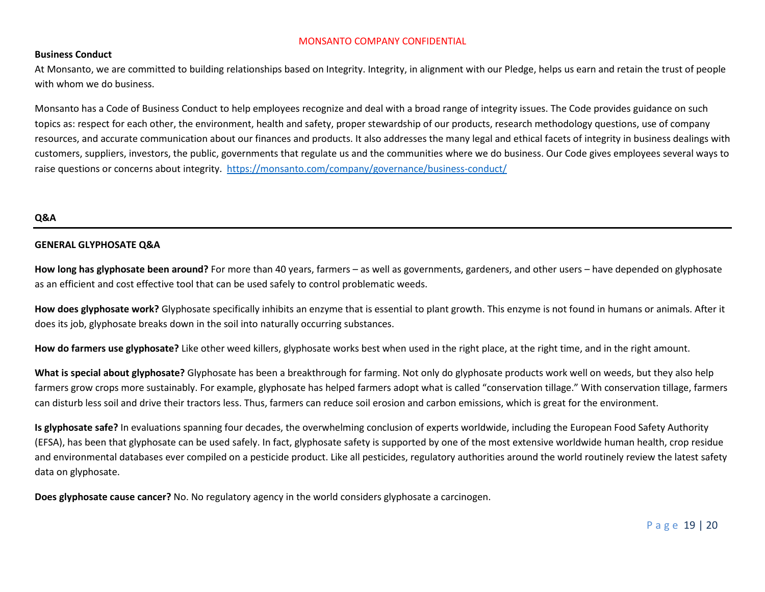#### **Business Conduct**

At Monsanto, we are committed to building relationships based on Integrity. Integrity, in alignment with our Pledge, helps us earn and retain the trust of people with whom we do business.

Monsanto has a Code of Business Conduct to help employees recognize and deal with a broad range of integrity issues. The Code provides guidance on such topics as: respect for each other, the environment, health and safety, proper stewardship of our products, research methodology questions, use of company resources, and accurate communication about our finances and products. It also addresses the many legal and ethical facets of integrity in business dealings with customers, suppliers, investors, the public, governments that regulate us and the communities where we do business. Our Code gives employees several ways to raise questions or concerns about integrity. <https://monsanto.com/company/governance/business-conduct/>

#### **Q&A**

#### **GENERAL GLYPHOSATE Q&A**

**How long has glyphosate been around?** For more than 40 years, farmers – as well as governments, gardeners, and other users – have depended on glyphosate as an efficient and cost effective tool that can be used safely to control problematic weeds.

**How does glyphosate work?** Glyphosate specifically inhibits an enzyme that is essential to plant growth. This enzyme is not found in humans or animals. After it does its job, glyphosate breaks down in the soil into naturally occurring substances.

**How do farmers use glyphosate?** Like other weed killers, glyphosate works best when used in the right place, at the right time, and in the right amount.

**What is special about glyphosate?** Glyphosate has been a breakthrough for farming. Not only do glyphosate products work well on weeds, but they also help farmers grow crops more sustainably. For example, glyphosate has helped farmers adopt what is called "conservation tillage." With conservation tillage, farmers can disturb less soil and drive their tractors less. Thus, farmers can reduce soil erosion and carbon emissions, which is great for the environment.

**Is glyphosate safe?** In evaluations spanning four decades, the overwhelming conclusion of experts worldwide, including the European Food Safety Authority (EFSA), has been that glyphosate can be used safely. In fact, glyphosate safety is supported by one of the most extensive worldwide human health, crop residue and environmental databases ever compiled on a pesticide product. Like all pesticides, regulatory authorities around the world routinely review the latest safety data on glyphosate.

**Does glyphosate cause cancer?** No. No regulatory agency in the world considers glyphosate a carcinogen.